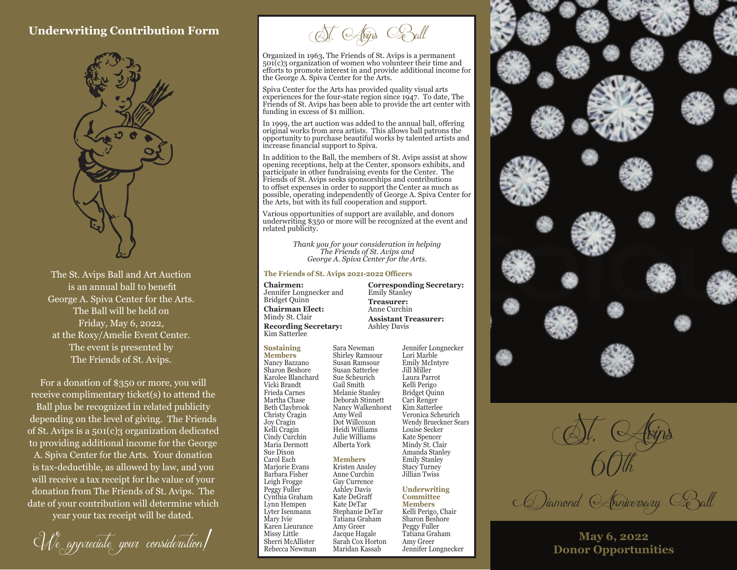### **Underwriting Contribution Form**



The St. Avips Ball and Art Auction **The Friends of St. Avips 2021-2022 Officers** is an annual ball to benefit George A. Spiva Center for the Arts. The Ball will be held on Friday, May 6, 2022, at the Roxy/Amelie Event Center. The event is presented by The Friends of St. Avips.

For a donation of \$350 or more, you will receive complimentary ticket(s) to attend the Ball plus be recognized in related publicity depending on the level of giving. The Friends of St. Avips is a 501(c)3 organization dedicated to providing additional income for the George A. Spiva Center for the Arts. Your donation is tax-deductible, as allowed by law, and you will receive a tax receipt for the value of your donation from The Friends of St. Avips. The date of your contribution will determine which year your tax receipt will be dated.

We appreciate your consideration!

St. Avips Ball

Organized in 1963, The Friends of St. Avips is a permanent 501(c)3 organization of women who volunteer their time and efforts to promote interest in and provide additional income for the George A. Spiva Center for the Arts.

Spiva Center for the Arts has provided quality visual arts experiences for the four-state region since 1947. To date, The Friends of St. Avips has been able to provide the art center with funding in excess of \$1 million.

In 1999, the art auction was added to the annual ball, offering original works from area artists. This allows ball patrons the opportunity to purchase beautiful works by talented artists and increase financial support to Spiva.

In addition to the Ball, the members of St. Avips assist at show opening receptions, help at the Center, sponsors exhibits, and participate in other fundraising events for the Center. The Friends of St. Avips seeks sponsorships and contributions to offset expenses in order to support the Center as much as possible, operating independently of George A. Spiva Center for the Arts, but with its full cooperation and support.

Various opportunities of support are available, and donors underwriting \$350 or more will be recognized at the event and related publicity.

> *Thank you for your consideration in helping The Friends of St. Avips and George A. Spiva Center for the Arts.*

Sara Newman Shirley Ramsour Susan Ramsour Susan Satterlee Sue Scheurich Gail Smith Melanie Stanley

Amy Weil Dot Willcoxon Heidi Williams Julie Williams Alberta York **Members** Kristen Ansley Anne Curchin Gay Currence Ashley Davis Kate DeGraff Kate DeTar Stephanie DeTar Tatiana Graham Amy Greer Jacque Hagale Sarah Cox Horton Maridan Kassab

**Chairmen:** Jennifer Longnecker and Bridget Quinn **Chairman Elect:** Mindy St. Clair **Recording Secretary:**

Emily Stanley **Treasurer:** Anne Curchin **Assistant Treasurer:**  Ashley Davis

**Corresponding Secretary:**

Kim Satterlee

**Sustaining Members** Nancy Bazzano Sharon Beshore Karolee Blanchard Vicki Brandt Frieda Carnes Martha Chase Beth Claybrook Christy Cragin Joy Cragin Kelli Cragin Cindy Curchin Maria Dermott Sue Dixon Carol Esch Marjorie Evans Barbara Fisher Leigh Frogge Peggy Fuller Cynthia Graham Lynn Hempen Lyter Isenmann Mary Ivie Karen Lieurance Missy Little Sherri McAllister Rebecca Newman

Deborah Stinnett Nancy Walkenhorst Jennifer Longnecker Lori Marble Emily McIntyre Jill Miller Laura Parrot Kelli Perigo Bridget Quinn Cari Renger Kim Satterlee Veronica Scheurich Wendy Brueckner Sears Louise Secker Kate Spencer Mindy St. Clair Amanda Stanley Emily Stanley Stacy Turney Jillian Twiss

> **Underwriting Committee Members** Kelli Perigo, Chair Sharon Beshore Peggy Fuller Tatiana Graham Amy Greer Jennifer Longnecker



St. Avips

CDiamond Anniversary Ball

**May 6, 2022 Donor Opportunities**